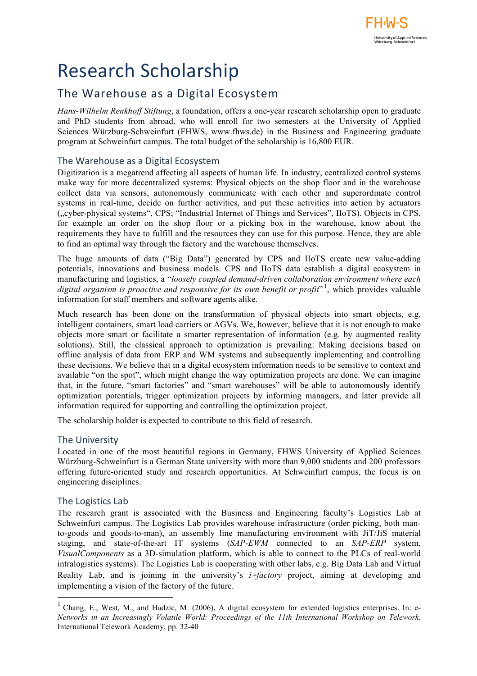# Research Scholarship

## The Warehouse as a Digital Ecosystem

*Hans-Wilhelm Renkhoff Stiftung*, a foundation, offers a one-year research scholarship open to graduate and PhD students from abroad, who will enroll for two semesters at the University of Applied Sciences Würzburg-Schweinfurt (FHWS, www.fhws.de) in the Business and Engineering graduate program at Schweinfurt campus. The total budget of the scholarship is 16,800 EUR.

#### The Warehouse as a Digital Ecosystem

Digitization is a megatrend affecting all aspects of human life. In industry, centralized control systems make way for more decentralized systems: Physical objects on the shop floor and in the warehouse collect data via sensors, autonomously communicate with each other and superordinate control systems in real-time, decide on further activities, and put these activities into action by actuators ("cyber-physical systems", CPS; "Industrial Internet of Things and Services", IIoTS). Objects in CPS, for example an order on the shop floor or a picking box in the warehouse, know about the requirements they have to fulfill and the resources they can use for this purpose. Hence, they are able to find an optimal way through the factory and the warehouse themselves.

The huge amounts of data ("Big Data") generated by CPS and IIoTS create new value-adding potentials, innovations and business models. CPS and IIoTS data establish a digital ecosystem in manufacturing and logistics, a "*loosely coupled demand-driven collaboration environment where each*  digital organism is proactive and responsive for its own benefit or profit<sup>"1</sup>, which provides valuable information for staff members and software agents alike.

Much research has been done on the transformation of physical objects into smart objects, e.g. intelligent containers, smart load carriers or AGVs. We, however, believe that it is not enough to make objects more smart or facilitate a smarter representation of information (e.g. by augmented reality solutions). Still, the classical approach to optimization is prevailing: Making decisions based on offline analysis of data from ERP and WM systems and subsequently implementing and controlling these decisions. We believe that in a digital ecosystem information needs to be sensitive to context and available "on the spot", which might change the way optimization projects are done. We can imagine that, in the future, "smart factories" and "smart warehouses" will be able to autonomously identify optimization potentials, trigger optimization projects by informing managers, and later provide all information required for supporting and controlling the optimization project.

The scholarship holder is expected to contribute to this field of research.

#### The University

Located in one of the most beautiful regions in Germany, FHWS University of Applied Sciences Würzburg-Schweinfurt is a German State university with more than 9,000 students and 200 professors offering future-oriented study and research opportunities. At Schweinfurt campus, the focus is on engineering disciplines.

#### The Logistics Lab

The research grant is associated with the Business and Engineering faculty's Logistics Lab at Schweinfurt campus. The Logistics Lab provides warehouse infrastructure (order picking, both manto-goods and goods-to-man), an assembly line manufacturing environment with JiT/JiS material staging, and state-of-the-art IT systems (*SAP-EWM* connected to an *SAP-ERP* system, *VisualComponents* as a 3D-simulation platform, which is able to connect to the PLCs of real-world intralogistics systems). The Logistics Lab is cooperating with other labs, e.g. Big Data Lab and Virtual Reality Lab, and is joining in the university's *i*–*factory* project, aiming at developing and implementing a vision of the factory of the future.

 <sup>1</sup> Chang, E., West, M., and Hadzic, M. (2006), A digital ecosystem for extended logistics enterprises. In: e*-Networks in an Increasingly Volatile World: Proceedings of the 11th International Workshop on Telework*, International Telework Academy, pp. 32-40